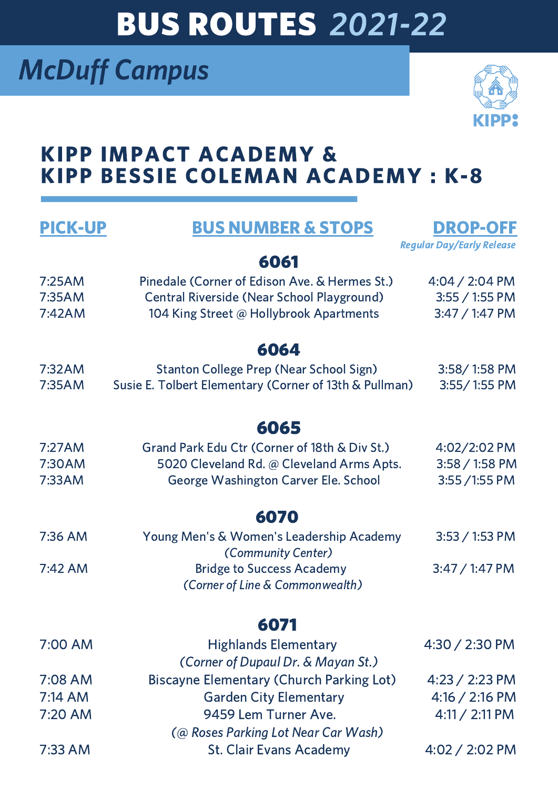# BUS ROUTES 2021-22

### McDuff Campus



### KIPP IMPACT ACADEMY & KIPP BESSIE COLEMAN ACADEMY : K-8

| <b>PICK-UP</b> | <b>BUS NUMBER &amp; STOPS</b>                                  | <b>DROP-OFF</b><br><b>Reqular Day/Early Release</b> |
|----------------|----------------------------------------------------------------|-----------------------------------------------------|
|                | 6061                                                           |                                                     |
| 7:25AM         | Pinedale (Corner of Edison Ave. & Hermes St.)                  | $4:04 / 2:04$ PM                                    |
| 7:35AM         | <b>Central Riverside (Near School Playground)</b>              | $3:55 / 1:55$ PM                                    |
| 7:42AM         | 104 King Street @ Hollybrook Apartments                        | $3:47/1:47$ PM                                      |
|                | 6064                                                           |                                                     |
| 7:32AM         | <b>Stanton College Prep (Near School Sign)</b>                 | 3:58/1:58 PM                                        |
| 7:35AM         | Susie E. Tolbert Elementary (Corner of 13th & Pullman)         | 3:55/1:55 PM                                        |
|                | 6065                                                           |                                                     |
| 7:27AM         | Grand Park Edu Ctr (Corner of 18th & Div St.)                  | 4:02/2:02 PM                                        |
| 7:30AM         | 5020 Cleveland Rd. @ Cleveland Arms Apts.                      | $3:58 / 1:58$ PM                                    |
| 7:33AM         | George Washington Carver Ele. School                           | $3:55/1:55$ PM                                      |
|                | 6070                                                           |                                                     |
| 7:36 AM        | Young Men's & Women's Leadership Academy<br>(Community Center) | $3:53 / 1:53$ PM                                    |
| $7:42$ AM      | <b>Bridge to Success Academy</b>                               | $3:47/1:47$ PM                                      |
|                | (Corner of Line & Commonwealth)                                |                                                     |
|                | 607                                                            |                                                     |
| 7:00 AM        | <b>Highlands Elementary</b>                                    | $4:30 / 2:30$ PM                                    |
|                | (Corner of Dupaul Dr. & Mayan St.)                             |                                                     |
| 7:08 AM        | <b>Biscayne Elementary (Church Parking Lot)</b>                | $4:23 / 2:23$ PM                                    |
| $7:14$ AM      | <b>Garden City Elementary</b>                                  | $4:16 / 2:16$ PM                                    |
| 7:20 AM        | 9459 Lem Turner Ave.                                           | $4:11 / 2:11$ PM                                    |
|                | (@ Roses Parking Lot Near Car Wash)                            |                                                     |
| 7:33 AM        | <b>St. Clair Evans Academy</b>                                 | $4:02 / 2:02$ PM                                    |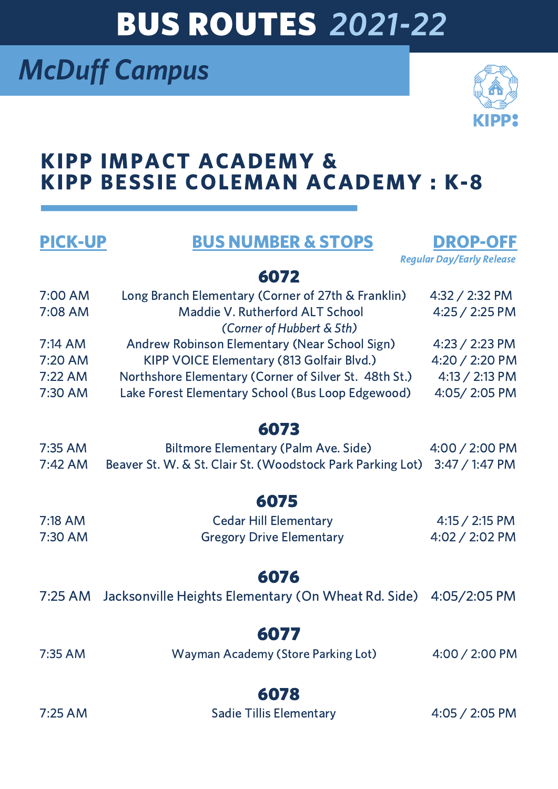# BUS ROUTES 2021-22

## McDuff Campus



### KIPP IMPACT ACADEMY & KIPP BESSIE COLEMAN ACADEMY : K-8

PICK-UP BUS NUMBER & STOPS DROP-OFF



#### 6072

| 7:00 AM | Long Branch Elementary (Corner of 27th & Franklin)    | 4:32 / 2:32 PM   |
|---------|-------------------------------------------------------|------------------|
| 7:08 AM | Maddie V. Rutherford ALT School                       | 4:25 / 2:25 PM   |
|         | (Corner of Hubbert & 5th)                             |                  |
| 7:14 AM | Andrew Robinson Elementary (Near School Sign)         | 4:23 / 2:23 PM   |
| 7:20 AM | KIPP VOICE Elementary (813 Golfair Blvd.)             | 4:20 / 2:20 PM   |
| 7:22 AM | Northshore Elementary (Corner of Silver St. 48th St.) | $4:13 / 2:13$ PM |
| 7:30 AM | Lake Forest Elementary School (Bus Loop Edgewood)     | 4:05/2:05 PM     |
|         |                                                       |                  |

#### 6073

| 7:35 AM | Biltmore Elementary (Palm Ave. Side)                                      | $4:00 / 2:00$ PM |
|---------|---------------------------------------------------------------------------|------------------|
| 7:42 AM | Beaver St. W. & St. Clair St. (Woodstock Park Parking Lot) 3:47 / 1:47 PM |                  |

### 6075

| 7:18 AM | <b>Cedar Hill Elementary</b>    | $4:15 / 2:15$ PM |
|---------|---------------------------------|------------------|
| 7:30 AM | <b>Gregory Drive Elementary</b> | $4:02 / 2:02$ PM |

#### 6076

|  | 7:25 AM Jacksonville Heights Elementary (On Wheat Rd. Side) 4:05/2:05 PM |  |
|--|--------------------------------------------------------------------------|--|
|--|--------------------------------------------------------------------------|--|

### 6077

7:35 AM Wayman Academy (Store Parking Lot) 4:00 / 2:00 PM

#### 6078

7:25 AM Sadie Tillis Elementary 4:05 / 2:05 PM